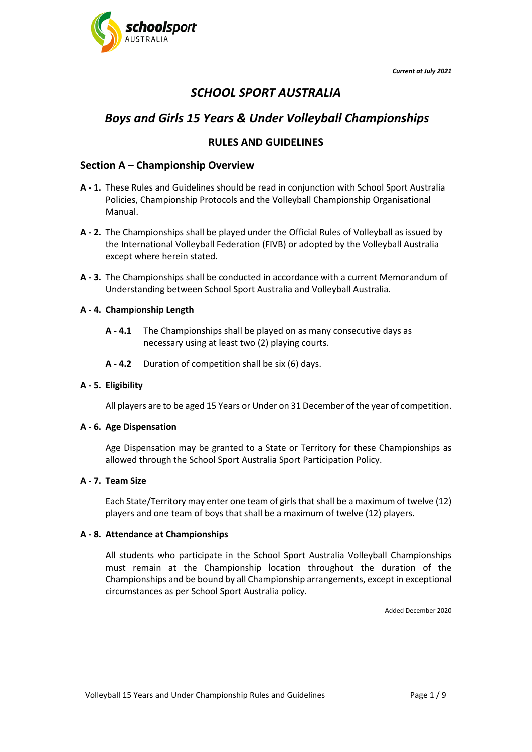



# *SCHOOL SPORT AUSTRALIA*

# *Boys and Girls 15 Years & Under Volleyball Championships*

# **RULES AND GUIDELINES**

# **Section A – Championship Overview**

- **A - 1.** These Rules and Guidelines should be read in conjunction with School Sport Australia Policies, Championship Protocols and the Volleyball Championship Organisational Manual.
- **A - 2.** The Championships shall be played under the Official Rules of Volleyball as issued by the International Volleyball Federation (FIVB) or adopted by the Volleyball Australia except where herein stated.
- **A - 3.** The Championships shall be conducted in accordance with a current Memorandum of Understanding between School Sport Australia and Volleyball Australia.

### **A - 4. Champ**i**onship Length**

- **A - 4.1** The Championships shall be played on as many consecutive days as necessary using at least two (2) playing courts.
- **A - 4.2** Duration of competition shall be six (6) days.

#### **A - 5. Eligibility**

All players are to be aged 15 Years or Under on 31 December of the year of competition.

#### **A - 6. Age Dispensation**

Age Dispensation may be granted to a State or Territory for these Championships as allowed through the School Sport Australia Sport Participation Policy.

#### **A - 7. Team Size**

Each State/Territory may enter one team of girls that shall be a maximum of twelve (12) players and one team of boys that shall be a maximum of twelve (12) players.

#### **A - 8. Attendance at Championships**

All students who participate in the School Sport Australia Volleyball Championships must remain at the Championship location throughout the duration of the Championships and be bound by all Championship arrangements, except in exceptional circumstances as per School Sport Australia policy.

Added December 2020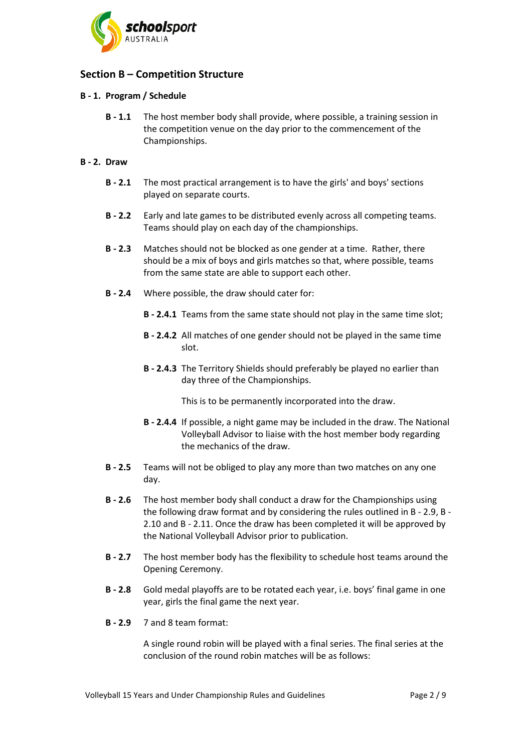

# **Section B – Competition Structure**

#### **B - 1. Program / Schedule**

**B - 1.1** The host member body shall provide, where possible, a training session in the competition venue on the day prior to the commencement of the Championships.

#### **B - 2. Draw**

- **B - 2.1** The most practical arrangement is to have the girls' and boys' sections played on separate courts.
- **B - 2.2** Early and late games to be distributed evenly across all competing teams. Teams should play on each day of the championships.
- **B - 2.3** Matches should not be blocked as one gender at a time. Rather, there should be a mix of boys and girls matches so that, where possible, teams from the same state are able to support each other.
- **B - 2.4** Where possible, the draw should cater for:
	- **B - 2.4.1** Teams from the same state should not play in the same time slot;
	- **B - 2.4.2** All matches of one gender should not be played in the same time slot.
	- **B - 2.4.3** The Territory Shields should preferably be played no earlier than day three of the Championships.

This is to be permanently incorporated into the draw.

- **B - 2.4.4** If possible, a night game may be included in the draw. The National Volleyball Advisor to liaise with the host member body regarding the mechanics of the draw.
- **B - 2.5** Teams will not be obliged to play any more than two matches on any one day.
- **B - 2.6** The host member body shall conduct a draw for the Championships using the following draw format and by considering the rules outlined in B - [2.9,](#page-1-0) [B -](#page-2-0) [2.10](#page-2-0) and B - [2.11.](#page-3-0) Once the draw has been completed it will be approved by the National Volleyball Advisor prior to publication.
- **B - 2.7** The host member body has the flexibility to schedule host teams around the Opening Ceremony.
- **B - 2.8** Gold medal playoffs are to be rotated each year, i.e. boys' final game in one year, girls the final game the next year.
- <span id="page-1-0"></span>**B - 2.9** 7 and 8 team format:

A single round robin will be played with a final series. The final series at the conclusion of the round robin matches will be as follows: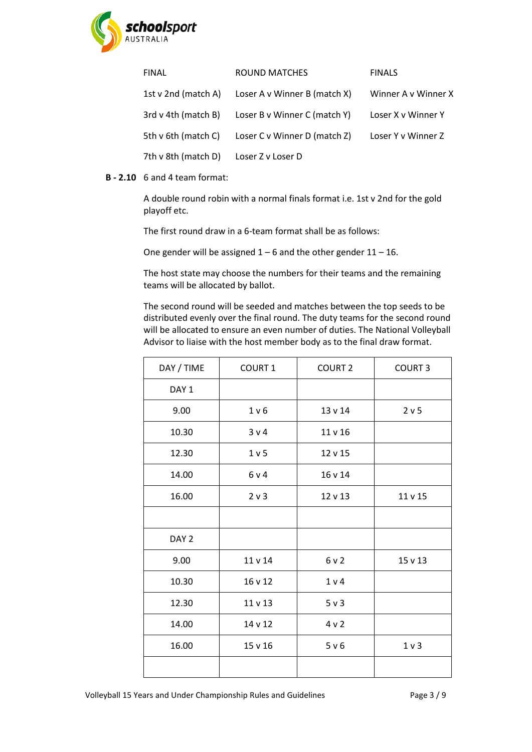

| <b>FINAL</b>        | ROUND MATCHES                | <b>FINALS</b>       |
|---------------------|------------------------------|---------------------|
| 1st v 2nd (match A) | Loser A v Winner B (match X) | Winner A v Winner X |
| 3rd v 4th (match B) | Loser B v Winner C (match Y) | Loser X v Winner Y  |
| 5th v 6th (match C) | Loser C v Winner D (match Z) | Loser Y v Winner Z  |
| 7th v 8th (match D) | Loser Z v Loser D            |                     |

### <span id="page-2-0"></span>**B - 2.10** 6 and 4 team format:

A double round robin with a normal finals format i.e. 1st v 2nd for the gold playoff etc.

The first round draw in a 6-team format shall be as follows:

One gender will be assigned  $1 - 6$  and the other gender  $11 - 16$ .

The host state may choose the numbers for their teams and the remaining teams will be allocated by ballot.

The second round will be seeded and matches between the top seeds to be distributed evenly over the final round. The duty teams for the second round will be allocated to ensure an even number of duties. The National Volleyball Advisor to liaise with the host member body as to the final draw format.

| DAY / TIME       | COURT 1 | <b>COURT 2</b> | <b>COURT 3</b> |
|------------------|---------|----------------|----------------|
| DAY <sub>1</sub> |         |                |                |
| 9.00             | 1 v 6   | 13 v 14        | 2 v 5          |
| 10.30            | 3 v 4   | 11 v 16        |                |
| 12.30            | 1 v 5   | 12 v 15        |                |
| 14.00            | 6 v 4   | 16 v 14        |                |
| 16.00            | 2 v 3   | 12 v 13        | 11 v 15        |
|                  |         |                |                |
| DAY <sub>2</sub> |         |                |                |
| 9.00             | 11 v 14 | 6 v 2          | 15 v 13        |
| 10.30            | 16 v 12 | 1 v 4          |                |
| 12.30            | 11 v 13 | 5 v 3          |                |
| 14.00            | 14 v 12 | 4 v 2          |                |
| 16.00            | 15 v 16 | 5 v 6          | 1 <sub>v</sub> |
|                  |         |                |                |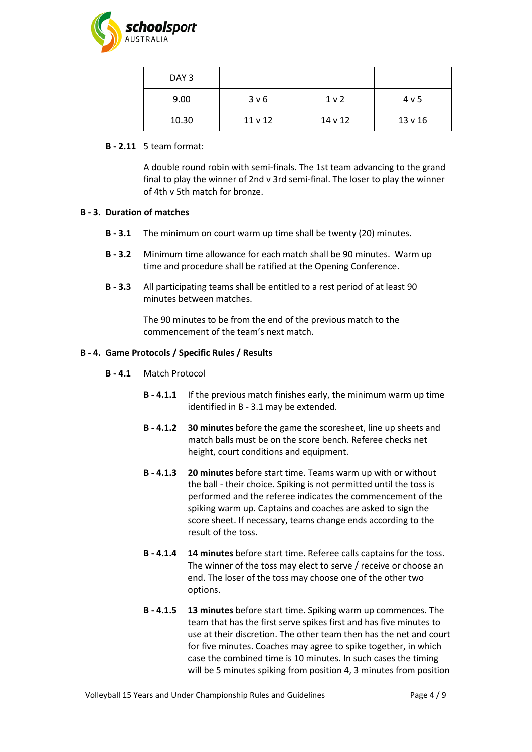

| DAY <sub>3</sub> |                  |                |                  |
|------------------|------------------|----------------|------------------|
| 9.00             | 3 <sub>v</sub> 6 | 1 <sub>v</sub> | 4 <sub>v</sub> 5 |
| 10.30            | 11 v 12          | 14 v 12        | 13 v 16          |

#### <span id="page-3-0"></span>**B - 2.11** 5 team format:

A double round robin with semi-finals. The 1st team advancing to the grand final to play the winner of 2nd v 3rd semi-final. The loser to play the winner of 4th v 5th match for bronze.

### <span id="page-3-1"></span>**B - 3. Duration of matches**

- **B - 3.1** The minimum on court warm up time shall be twenty (20) minutes.
- **B - 3.2** Minimum time allowance for each match shall be 90 minutes. Warm up time and procedure shall be ratified at the Opening Conference.
- **B - 3.3** All participating teams shall be entitled to a rest period of at least 90 minutes between matches.

The 90 minutes to be from the end of the previous match to the commencement of the team's next match.

### **B - 4. Game Protocols / Specific Rules / Results**

- **B - 4.1** Match Protocol
	- **B - 4.1.1** If the previous match finishes early, the minimum warm up time identified i[n B -](#page-3-1) 3.1 may be extended.
	- **B - 4.1.2 30 minutes** before the game the scoresheet, line up sheets and match balls must be on the score bench. Referee checks net height, court conditions and equipment.
	- **B - 4.1.3 20 minutes** before start time. Teams warm up with or without the ball - their choice. Spiking is not permitted until the toss is performed and the referee indicates the commencement of the spiking warm up. Captains and coaches are asked to sign the score sheet. If necessary, teams change ends according to the result of the toss.
	- **B - 4.1.4 14 minutes** before start time. Referee calls captains for the toss. The winner of the toss may elect to serve / receive or choose an end. The loser of the toss may choose one of the other two options.
	- **B - 4.1.5 13 minutes** before start time. Spiking warm up commences. The team that has the first serve spikes first and has five minutes to use at their discretion. The other team then has the net and court for five minutes. Coaches may agree to spike together, in which case the combined time is 10 minutes. In such cases the timing will be 5 minutes spiking from position 4, 3 minutes from position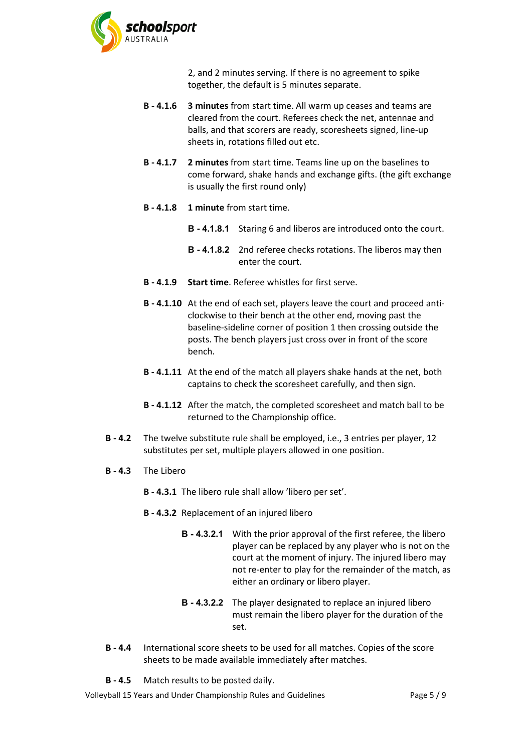

2, and 2 minutes serving. If there is no agreement to spike together, the default is 5 minutes separate.

- **B - 4.1.6 3 minutes** from start time. All warm up ceases and teams are cleared from the court. Referees check the net, antennae and balls, and that scorers are ready, scoresheets signed, line-up sheets in, rotations filled out etc.
- **B - 4.1.7 2 minutes** from start time. Teams line up on the baselines to come forward, shake hands and exchange gifts. (the gift exchange is usually the first round only)
- **B - 4.1.8 1 minute** from start time.
	- **B - 4.1.8.1** Staring 6 and liberos are introduced onto the court.
	- **B - 4.1.8.2** 2nd referee checks rotations. The liberos may then enter the court.
- **B - 4.1.9 Start time**. Referee whistles for first serve.
- **B - 4.1.10** At the end of each set, players leave the court and proceed anticlockwise to their bench at the other end, moving past the baseline-sideline corner of position 1 then crossing outside the posts. The bench players just cross over in front of the score bench.
- **B - 4.1.11** At the end of the match all players shake hands at the net, both captains to check the scoresheet carefully, and then sign.
- **B - 4.1.12** After the match, the completed scoresheet and match ball to be returned to the Championship office.
- **B - 4.2** The twelve substitute rule shall be employed, i.e., 3 entries per player, 12 substitutes per set, multiple players allowed in one position.
- **B - 4.3** The Libero

**B - 4.3.1** The libero rule shall allow 'libero per set'.

- **B - 4.3.2** Replacement of an injured libero
	- **B - 4.3.2.1** With the prior approval of the first referee, the libero player can be replaced by any player who is not on the court at the moment of injury. The injured libero may not re-enter to play for the remainder of the match, as either an ordinary or libero player.
	- **B - 4.3.2.2** The player designated to replace an injured libero must remain the libero player for the duration of the set.
- **B - 4.4** International score sheets to be used for all matches. Copies of the score sheets to be made available immediately after matches.

**B - 4.5** Match results to be posted daily.

Volleyball 15 Years and Under Championship Rules and Guidelines Page 5 / 9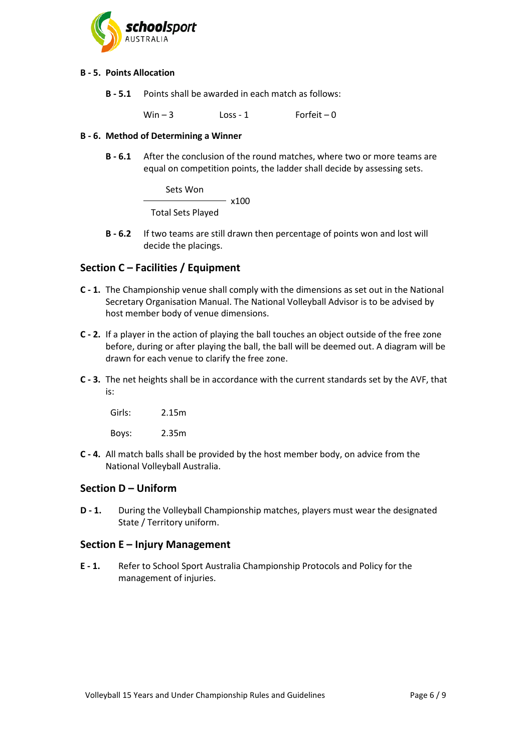

### **B - 5. Points Allocation**

**B - 5.1** Points shall be awarded in each match as follows:

 $Win - 3$   $Loss - 1$  Forfeit – 0

### **B - 6. Method of Determining a Winner**

**B - 6.1** After the conclusion of the round matches, where two or more teams are equal on competition points, the ladder shall decide by assessing sets.

> Sets Won  $- x100$ Total Sets Played

**B - 6.2** If two teams are still drawn then percentage of points won and lost will decide the placings.

# **Section C – Facilities / Equipment**

- **C - 1.** The Championship venue shall comply with the dimensions as set out in the National Secretary Organisation Manual. The National Volleyball Advisor is to be advised by host member body of venue dimensions.
- **C - 2.** If a player in the action of playing the ball touches an object outside of the free zone before, during or after playing the ball, the ball will be deemed out. A diagram will be drawn for each venue to clarify the free zone.
- **C - 3.** The net heights shall be in accordance with the current standards set by the AVF, that is:

Girls: 2.15m

Boys: 2.35m

**C - 4.** All match balls shall be provided by the host member body, on advice from the National Volleyball Australia.

# **Section D – Uniform**

**D - 1.** During the Volleyball Championship matches, players must wear the designated State / Territory uniform.

### **Section E – Injury Management**

**E - 1.** Refer to School Sport Australia Championship Protocols and Policy for the management of injuries.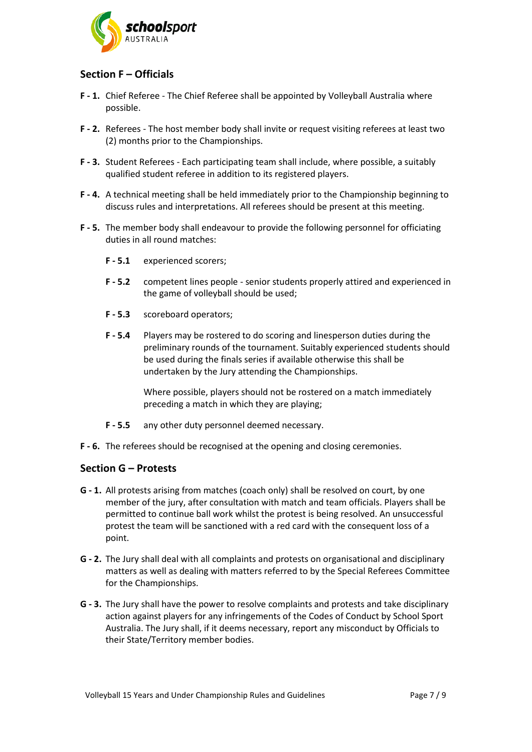

# **Section F – Officials**

- **F - 1.** Chief Referee The Chief Referee shall be appointed by Volleyball Australia where possible.
- **F - 2.** Referees The host member body shall invite or request visiting referees at least two (2) months prior to the Championships.
- **F - 3.** Student Referees Each participating team shall include, where possible, a suitably qualified student referee in addition to its registered players.
- **F - 4.** A technical meeting shall be held immediately prior to the Championship beginning to discuss rules and interpretations. All referees should be present at this meeting.
- **F - 5.** The member body shall endeavour to provide the following personnel for officiating duties in all round matches:
	- **F - 5.1** experienced scorers;
	- **F - 5.2** competent lines people senior students properly attired and experienced in the game of volleyball should be used;
	- **F - 5.3** scoreboard operators;
	- **F - 5.4** Players may be rostered to do scoring and linesperson duties during the preliminary rounds of the tournament. Suitably experienced students should be used during the finals series if available otherwise this shall be undertaken by the Jury attending the Championships.

Where possible, players should not be rostered on a match immediately preceding a match in which they are playing;

- **F - 5.5** any other duty personnel deemed necessary.
- **F - 6.** The referees should be recognised at the opening and closing ceremonies.

### **Section G – Protests**

- **G - 1.** All protests arising from matches (coach only) shall be resolved on court, by one member of the jury, after consultation with match and team officials. Players shall be permitted to continue ball work whilst the protest is being resolved. An unsuccessful protest the team will be sanctioned with a red card with the consequent loss of a point.
- **G - 2.** The Jury shall deal with all complaints and protests on organisational and disciplinary matters as well as dealing with matters referred to by the Special Referees Committee for the Championships.
- **G - 3.** The Jury shall have the power to resolve complaints and protests and take disciplinary action against players for any infringements of the Codes of Conduct by School Sport Australia. The Jury shall, if it deems necessary, report any misconduct by Officials to their State/Territory member bodies.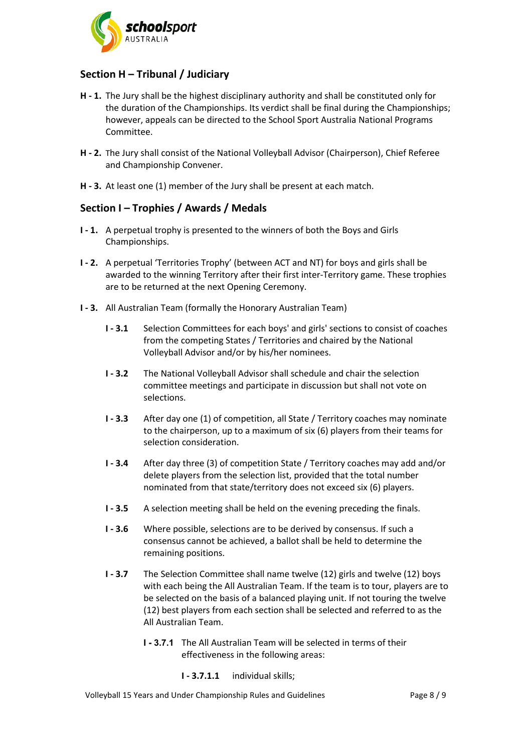

# **Section H – Tribunal / Judiciary**

- **H - 1.** The Jury shall be the highest disciplinary authority and shall be constituted only for the duration of the Championships. Its verdict shall be final during the Championships; however, appeals can be directed to the School Sport Australia National Programs Committee.
- **H - 2.** The Jury shall consist of the National Volleyball Advisor (Chairperson), Chief Referee and Championship Convener.
- **H - 3.** At least one (1) member of the Jury shall be present at each match.

# **Section I – Trophies / Awards / Medals**

- **I - 1.** A perpetual trophy is presented to the winners of both the Boys and Girls Championships.
- **I - 2.** A perpetual 'Territories Trophy' (between ACT and NT) for boys and girls shall be awarded to the winning Territory after their first inter-Territory game. These trophies are to be returned at the next Opening Ceremony.
- **I - 3.** All Australian Team (formally the Honorary Australian Team)
	- **I - 3.1** Selection Committees for each boys' and girls' sections to consist of coaches from the competing States / Territories and chaired by the National Volleyball Advisor and/or by his/her nominees.
	- **I - 3.2** The National Volleyball Advisor shall schedule and chair the selection committee meetings and participate in discussion but shall not vote on selections.
	- **I - 3.3** After day one (1) of competition, all State / Territory coaches may nominate to the chairperson, up to a maximum of six (6) players from their teams for selection consideration.
	- **I - 3.4** After day three (3) of competition State / Territory coaches may add and/or delete players from the selection list, provided that the total number nominated from that state/territory does not exceed six (6) players.
	- **I - 3.5** A selection meeting shall be held on the evening preceding the finals.
	- **I - 3.6** Where possible, selections are to be derived by consensus. If such a consensus cannot be achieved, a ballot shall be held to determine the remaining positions.
	- **I - 3.7** The Selection Committee shall name twelve (12) girls and twelve (12) boys with each being the All Australian Team. If the team is to tour, players are to be selected on the basis of a balanced playing unit. If not touring the twelve (12) best players from each section shall be selected and referred to as the All Australian Team.
		- **I - 3.7.1** The All Australian Team will be selected in terms of their effectiveness in the following areas:
			- **I - 3.7.1.1** individual skills;